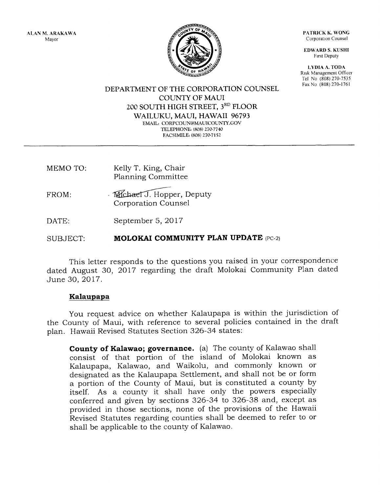ALAN M, ARAKAWA Mayor

PATRICK K. WONG Corporation Counsel

**EDWARD S. KUSHI** Frrst Deputy

L}'DIA A. TODA Risk Management Officer Tel No (808) 270-7535 Fax No (808) 270-1761



DEPARTMENT OF THE CORPORATION COLINSEL COLINTY OF MAUI 200 SOUTH HIGH STREET, 3RD FLOOR WAILUKU, MAUI, HAWAII 96793 EMAIL: CORPCOUN@MAUICOUNTY.GOV TELEPHONE: (808) 270-7740 FACSIMILE, (808) 270-7152

- MEMO TO: Kelly T. King, Chair Planning Committee
- FROM Michael J. Hopper, Deputy Corporation Counsel
- DATE: September 5,2017

SUBJECT: MOLOKAI COMMUNITY PLAN UPDATE (PC-2)

This letter responds to the questions you raised in your correspondence dated August 30, 2Ol7 regarding the draft Molokai Community Plan dated June 30,2017.

## Kalaupapa

You request advice on whether Kalaupapa is within the jurisdiction of the County of Maui, with reference to several policies contained in the draft plan. Hawaii Revised Statutes Section 326-34 states:

County of Kalawao; governance. (a) The county of Kalawao shall consist of that portion of the island of Molokai known as Kalaupapa, Kalawao, and Waikolu, and commonly known or designated as the Kalaupapa Settlement, and shall not be or form a portion of the County of Maui, but is constituted a county by itself. As a county it shall have oniy the powers especially conferred and given by sections 326-34 to 326-38 and, except as provided in those sections, none of the provisions of the Hawaii Revised Statutes regarding counties shall be deemed to refer to or shall be applicable to the county of Kalawao.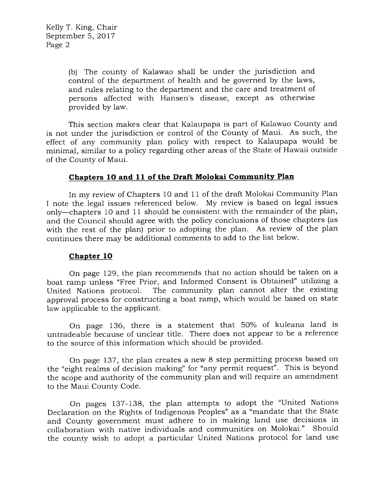(b) The county of Kalawao shall be under the jurisdiction and control of the department of health and be governed by the laws, and rules relating to the department and the care and treatment of persons affected with Hansen's disease, except as otherwise provided by law.

This section makes clear that Kalaupapa is part of Kalawao County and is not under the jurisdiction or control of the County of Maui. As such, the effect of any community plan policy with respect to Kalaupapa would be minimal, similar to a policy regarding other areas of the State of Hawaii outside of the County of Maui.

## Chapters 10 and 11 of the Draft Molokai Community Plan

In my review of Chapters 10 and 11 of the draft Molokai Community Plan I note the legal issues referenced below. My review is based on legal issues only-chapters 10 and 11 should be consistent with the remainder of the plan, and the Council should agree with the poiicy conclusions of those chapters (as with the rest of the plan) prior to adopting the plan. As review of the plan continues there may be additional comments to add to the list below.

## Chapter 1O

On page 129, the plan recommends that no action should be taken on a boat ramp unless "Free Prior, and Informed Consent is Obtained" utilizing <sup>a</sup> The community plan cannot alter the existing approval process for constructing a boat ramp, which would be based on state law applicable to the applicant.

On page 136, there is a statement that 50% of kuleana land is untradeable because of unclear title. There does not appear to be a reference to the source of this information which should be provided.

On page 137, the plan creates a new 8 step permitting process based on the "eight realms of decision making" for "any permit request". This is beyond the scope and authority of the community plan and will require an amendment to the Maui County Code.

On pages 137-138, the plan attempts to adopt the "United Nations Declaration on the Rights of Indigenous Peoples" as a "mandate that the State and County government must adhere to in making land use decisions in collaboration with native individuals and communities on Molokai." Should the county wish to adopt a particular United Nations protocol for land use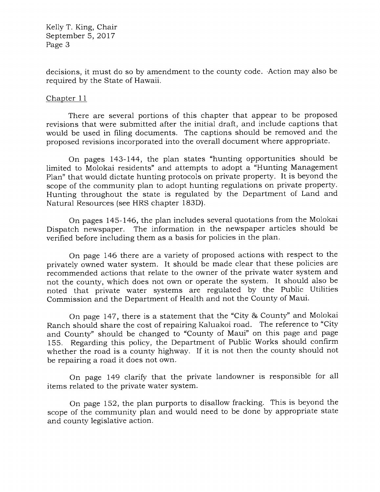Kelly T. King, Chair September 5,2017 Page 3

decisions, it must do so by amendment to the county code. Action may also be required by the State of Hawaii.

## Chapter 11

There are several portions of this chapter that appear to be proposed revisions that were submitted after the initial draft, and include captions that would be used in filing documents. The captions should be removed and the proposed revisions incorporated into the overall document where appropriate.

On pages 143-144, the plan states "hunting opportunities should be limited to Molokai residents" and attempts to adopt a "Hunting Management Plan" that would dictate hunting protocols on private property. It is beyond the scope of the community plan to adopt hunting regulations on private property. Hunting throughout the state is regulated by the Department of Land and Natural Resources (see HRS chapter 183D).

On pages 145-146, the plan includes several quotations from the Molokai Dispatch newspaper. The information in the newspaper articles should be verified before including them as a basis for policies in the plan.

On page 146 there are a variety of proposed actions with respect to the privately owned water system. it should be made clear that these policies are recommended actions that relate to the owner of the private water system and not the county, which does not own or operate the system. It should also be noted that private water systems are regulated by the Public Utilities Commission and the Department of Health and not the County of Maui.

On page 147, there is a statement that the "City & County" and Molokai Ranch should share the cost of repairing Kaluakoi road. The reference to "City and County" should be changed to "County of Maui" on this page and page 155. Regarding this policy, the Department of Public Works should confirm whether the road is a county highway. If it is not then the county should not be repairing a road it does not own.

On page 149 clartfy that the private landowner is responsible for all items related to the private water system.

On page 152, the plan purports to disallow fracking. This is beyond the scope of the community plan and would need to be done by appropriate state and county legislative action.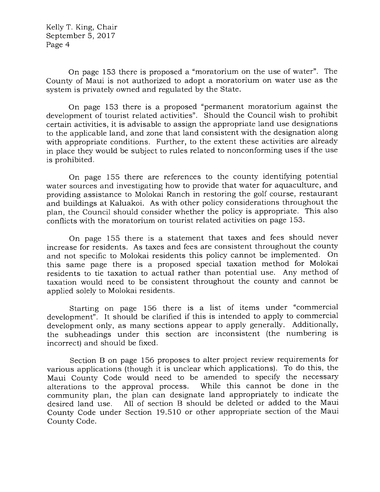Kelly T. King, Chair September 5,2OL7 Page 4

On page 153 there is proposed a "moratorium on the use of water". The County of Maui is not authorized to adopt a moratorium on water use as the system is privately owned and regulated by the State.

On page 153 there is a proposed "permanent moratorium against the development of tourist related activities". Should the Council wish to prohibit certain activities, it is advisable to assign the appropriate land use designations to the applicable land, and zone that land consistent with the designation along with appropriate conditions. Further, to the extent these activities are already in place they would be subject to rules related to nonconforming uses if the use is prohibited.

On page 155 there are references to the county identifying potential water sources and investigating how to provide that water for aquaculture, and providing assistance to Molokai Ranch in restoring the golf course, restaurant and buildings at Kaluakoi. As with other policy considerations throughout the plan, the Council should consider whether the policy is appropriate. This also conflicts with the moratorium on tourist related activities on page 153.

On page 155 there is a statement that taxes and fees should never increase for residents. As taxes and fees are consistent throughout the county and not specific to Molokai residents this policy cannot be implemented. On this same page there is a proposed special taxation method for Molokai residents to tie taxation to actual rather than potential use. Any method of taxation would need to be consistent throughout the county and cannot be applied solely to Molokai residents.

Starting on page 156 there is a list of items under "commercial development". It should be clarified if this is intended to apply to commercial development only, as many sections appear to apply generally. Additionally, the subheadings under this section are inconsistent (the numbering is incorrect) and should be fixed.

Section B on page 156 proposes to alter project review requirements for various applications (though it is unclear which applications). To do this, the Maui County Code would need to be amended to specify the necessary alterations to the approval process. While this cannot be done in the community plan, the plan can designate land appropriately to indicate the desired land use. All of section B should be deleted or added to the Maui County Code under Section 19.510 or other appropriate section of the Maui County Code.